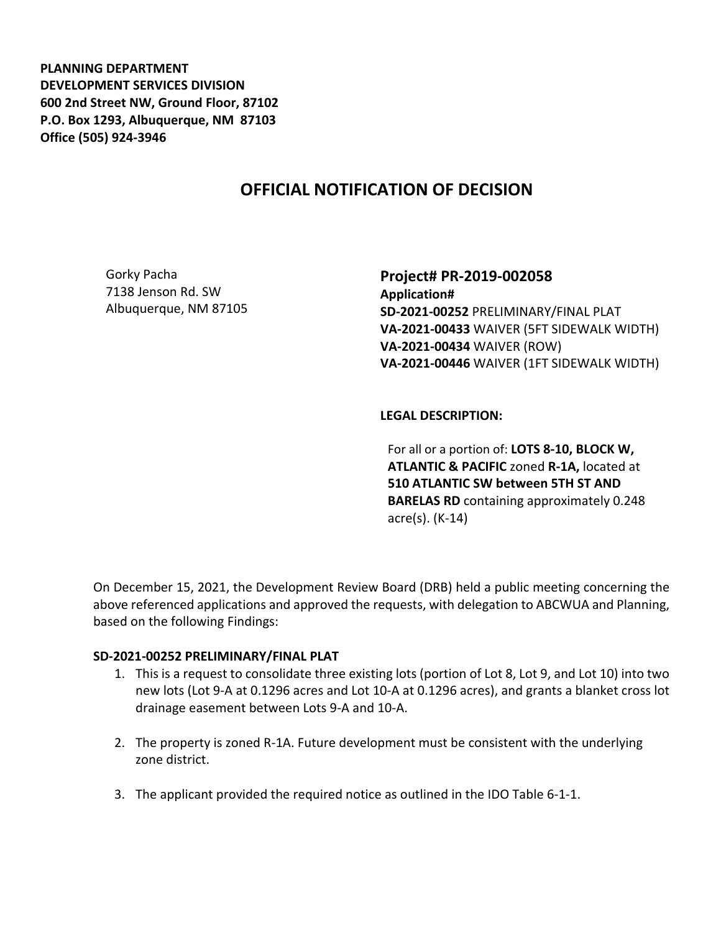**PLANNING DEPARTMENT DEVELOPMENT SERVICES DIVISION 600 2nd Street NW, Ground Floor, 87102 P.O. Box 1293, Albuquerque, NM 87103 Office (505) 924-3946** 

# **OFFICIAL NOTIFICATION OF DECISION**

Gorky Pacha 7138 Jenson Rd. SW Albuquerque, NM 87105 **Project# PR-2019-002058 Application# SD-2021-00252** PRELIMINARY/FINAL PLAT **VA-2021-00433** WAIVER (5FT SIDEWALK WIDTH) **VA-2021-00434** WAIVER (ROW) **VA-2021-00446** WAIVER (1FT SIDEWALK WIDTH)

**LEGAL DESCRIPTION:**

For all or a portion of: **LOTS 8-10, BLOCK W, ATLANTIC & PACIFIC** zoned **R-1A,** located at **510 ATLANTIC SW between 5TH ST AND BARELAS RD** containing approximately 0.248 acre(s). (K-14)

On December 15, 2021, the Development Review Board (DRB) held a public meeting concerning the above referenced applications and approved the requests, with delegation to ABCWUA and Planning, based on the following Findings:

#### **SD-2021-00252 PRELIMINARY/FINAL PLAT**

- 1. This is a request to consolidate three existing lots (portion of Lot 8, Lot 9, and Lot 10) into two new lots (Lot 9-A at 0.1296 acres and Lot 10-A at 0.1296 acres), and grants a blanket cross lot drainage easement between Lots 9-A and 10-A.
- 2. The property is zoned R-1A. Future development must be consistent with the underlying zone district.
- 3. The applicant provided the required notice as outlined in the IDO Table 6-1-1.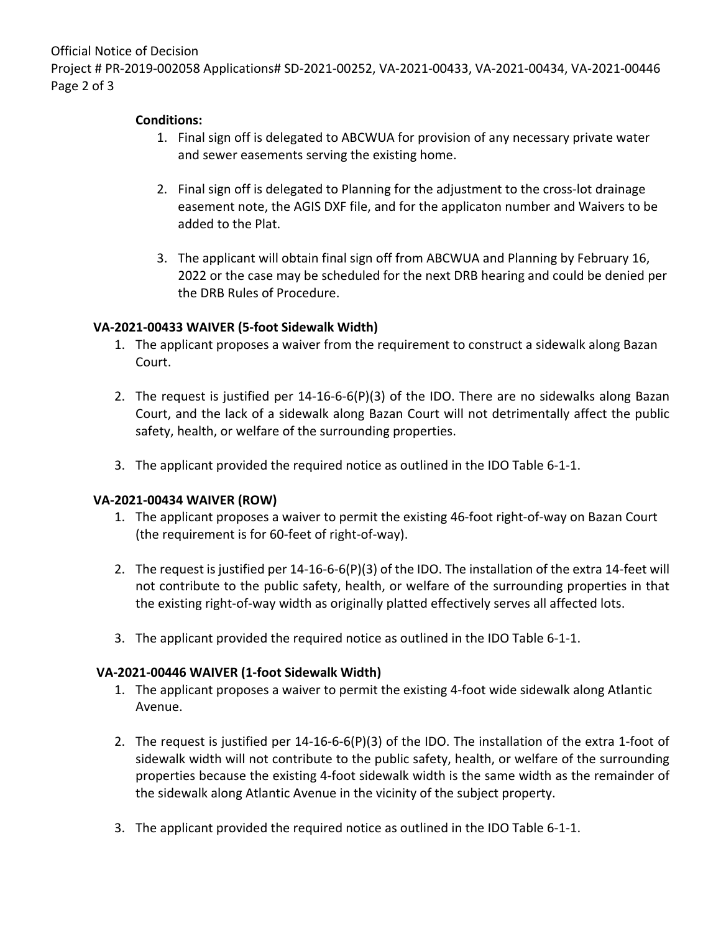Official Notice of Decision

Project # PR-2019-002058 Applications# SD-2021-00252, VA-2021-00433, VA-2021-00434, VA-2021-00446 Page 2 of 3

# **Conditions:**

- 1. Final sign off is delegated to ABCWUA for provision of any necessary private water and sewer easements serving the existing home.
- 2. Final sign off is delegated to Planning for the adjustment to the cross-lot drainage easement note, the AGIS DXF file, and for the applicaton number and Waivers to be added to the Plat.
- 3. The applicant will obtain final sign off from ABCWUA and Planning by February 16, 2022 or the case may be scheduled for the next DRB hearing and could be denied per the DRB Rules of Procedure.

# **VA-2021-00433 WAIVER (5-foot Sidewalk Width)**

- 1. The applicant proposes a waiver from the requirement to construct a sidewalk along Bazan Court.
- 2. The request is justified per 14-16-6-6(P)(3) of the IDO. There are no sidewalks along Bazan Court, and the lack of a sidewalk along Bazan Court will not detrimentally affect the public safety, health, or welfare of the surrounding properties.
- 3. The applicant provided the required notice as outlined in the IDO Table 6-1-1.

## **VA-2021-00434 WAIVER (ROW)**

- 1. The applicant proposes a waiver to permit the existing 46-foot right-of-way on Bazan Court (the requirement is for 60-feet of right-of-way).
- 2. The request is justified per 14-16-6-6(P)(3) of the IDO. The installation of the extra 14-feet will not contribute to the public safety, health, or welfare of the surrounding properties in that the existing right-of-way width as originally platted effectively serves all affected lots.
- 3. The applicant provided the required notice as outlined in the IDO Table 6-1-1.

## **VA-2021-00446 WAIVER (1-foot Sidewalk Width)**

- 1. The applicant proposes a waiver to permit the existing 4-foot wide sidewalk along Atlantic Avenue.
- 2. The request is justified per 14-16-6-6(P)(3) of the IDO. The installation of the extra 1-foot of sidewalk width will not contribute to the public safety, health, or welfare of the surrounding properties because the existing 4-foot sidewalk width is the same width as the remainder of the sidewalk along Atlantic Avenue in the vicinity of the subject property.
- 3. The applicant provided the required notice as outlined in the IDO Table 6-1-1.